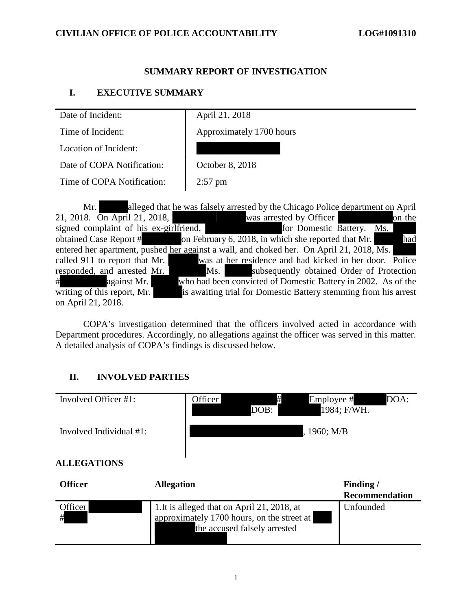### **SUMMARY REPORT OF INVESTIGATION**

### **I. EXECUTIVE SUMMARY**

| Date of Incident:          | April 21, 2018           |
|----------------------------|--------------------------|
| Time of Incident:          | Approximately 1700 hours |
| Location of Incident:      |                          |
| Date of COPA Notification: | October 8, 2018          |
| Time of COPA Notification: | $2:57$ pm                |

Mr. alleged that he was falsely arrested by the Chicago Police department on April 21, 2018.  $\overline{On$  April 21, 2018, was arrested by Officer on the signed complaint of his ex-girlfriend, for Domestic Battery. Ms. obtained Case Report # on February 6, 2018, in which she reported that Mr. had entered her apartment, pushed her against a wall, and choked her. On April 21, 2018, Ms. called 911 to report that Mr. was at her residence and had kicked in her door. Police responded, and arrested Mr. Ms. Subsequently obtained Order of Protection # against Mr. who had been convicted of Domestic Battery in 2002. As of the writing of this report, Mr. is awaiting trial for Domestic Battery stemming from his arrest on April 21, 2018.

COPA's investigation determined that the officers involved acted in accordance with Department procedures. Accordingly, no allegations against the officer was served in this matter. A detailed analysis of COPA's findings is discussed below.

# **II. INVOLVED PARTIES**

| Involved Officer #1:    | #<br>Officer<br>Employee #<br>DOB:                                                                                        | DOA:<br>1984; F/WH.                |
|-------------------------|---------------------------------------------------------------------------------------------------------------------------|------------------------------------|
| Involved Individual #1: | , 1960; M/B                                                                                                               |                                    |
| <b>ALLEGATIONS</b>      |                                                                                                                           |                                    |
| <b>Officer</b>          | <b>Allegation</b>                                                                                                         | Finding /<br><b>Recommendation</b> |
| Officer<br>#            | 1. It is alleged that on April 21, 2018, at<br>approximately 1700 hours, on the street at<br>the accused falsely arrested | Unfounded                          |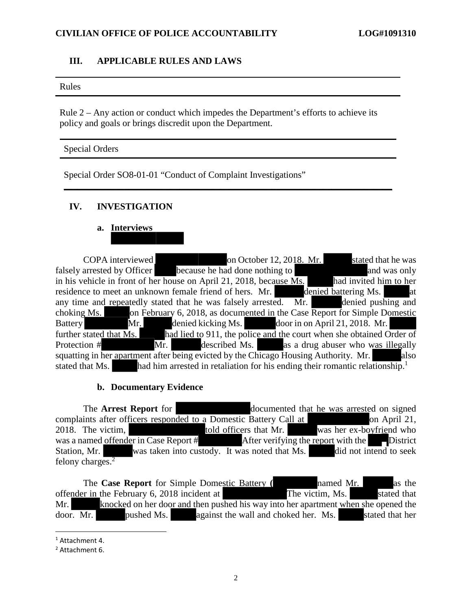#### **III. APPLICABLE RULES AND LAWS**

#### Rules

Rule 2 – Any action or conduct which impedes the Department's efforts to achieve its policy and goals or brings discredit upon the Department.

**\_\_\_\_\_\_\_\_\_\_\_\_\_\_\_\_\_\_\_\_\_\_\_\_\_\_\_\_\_\_\_\_\_\_\_\_\_\_\_\_\_\_\_\_\_\_\_\_\_\_\_\_\_\_\_\_\_\_\_\_\_\_\_\_\_\_\_\_\_\_\_**

#### Special Orders

Special Order SO8-01-01 "Conduct of Complaint Investigations"

# **IV. INVESTIGATION**

# **a. Interviews**

COPA interviewed on October 12, 2018. Mr. stated that he was falsely arrested by Officer because he had done nothing to and was only in his vehicle in front of her house on April 21, 2018, because  $\overline{Ms}$ . had invited him to her residence to meet an unknown female friend of hers. Mr. denied battering Ms. at any time and repeatedly stated that he was falsely arrested. Mr. denied pushing and choking Ms. on February 6, 2018, as documented in the Case Report for Simple Domestic Battery Mr. denied kicking Ms. door in on April 21, 2018. Mr. further stated that  $\overline{Ms}$ . had lied to 911, the police and the court when she obtained Order of Protection  $#$  Mr. described Ms. as a drug abuser who was illegally squatting in her apartment after being evicted by the Chicago Housing Authority. Mr. also stated that Ms. had him arrested in retaliation for his ending their romantic relationship.<sup>1</sup>

#### **b. Documentary Evidence**

The **Arrest Report** for documented that he was arrested on signed complaints after officers responded to a Domestic Battery Call at on April 21, 2018. The victim, told officers that Mr. was her ex-boyfriend who was a named offender in Case Report  $#$  After verifying the report with the District Station, Mr. was taken into custody. It was noted that Ms. did not intend to seek felony charges.<sup>2</sup>

The **Case Report** for Simple Domestic Battery **(** named Mr. as the offender in the February 6, 2018 incident at The victim, Ms. stated that Mr. knocked on her door and then pushed his way into her apartment when she opened the door. Mr. pushed Ms. against the wall and choked her. Ms. stated that her

<sup>1</sup> Attachment 4.

<sup>2</sup> Attachment 6.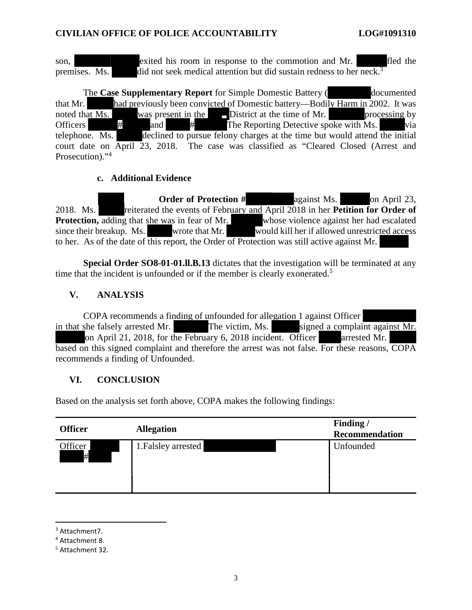son, exited his room in response to the commotion and Mr. fled the premises. Ms. did not seek medical attention but did sustain redness to her neck.<sup>3</sup>

The **Case Supplementary Report** for Simple Domestic Battery (documented that Mr. had previously been convicted of Domestic battery—Bodily Harm in 2002. It was noted that Ms. was present in the District at the time of Mr. processing by Officers  $\#$  and  $\#$  The Reporting Detective spoke with Ms. via telephone. Ms. declined to pursue felony charges at the time but would attend the initial court date on April 23, 2018. The case was classified as "Cleared Closed (Arrest and Prosecution)."<sup>4</sup>

### **c. Additional Evidence**

**Order of Protection #** against Ms. on April 23, 2018. Ms. **referated the events of February and April 2018 in her Petition for Order of Protection,** adding that she was in fear of Mr. whose violence against her had escalated since their breakup. Ms. wrote that Mr. would kill her if allowed unrestricted access to her. As of the date of this report, the Order of Protection was still active against Mr.

**Special Order SO8-01-01.ll.B.13** dictates that the investigation will be terminated at any time that the incident is unfounded or if the member is clearly exonerated.<sup>5</sup>

# **V. ANALYSIS**

 COPA recommends a finding of unfounded for allegation 1 against Officer in that she falsely arrested Mr. The victim, Ms. signed a complaint against Mr. on April 21, 2018, for the February 6, 2018 incident. Officer arrested Mr. based on this signed complaint and therefore the arrest was not false. For these reasons, COPA recommends a finding of Unfounded.

# **VI. CONCLUSION**

Based on the analysis set forth above, COPA makes the following findings:

| <b>Officer</b> | <b>Allegation</b>   | Finding /<br><b>Recommendation</b> |
|----------------|---------------------|------------------------------------|
| Officer<br>#   | 1. Falsley arrested | Unfounded                          |

<sup>3</sup> Attachment7.

<sup>4</sup> Attachment 8.

<sup>5</sup> Attachment 32.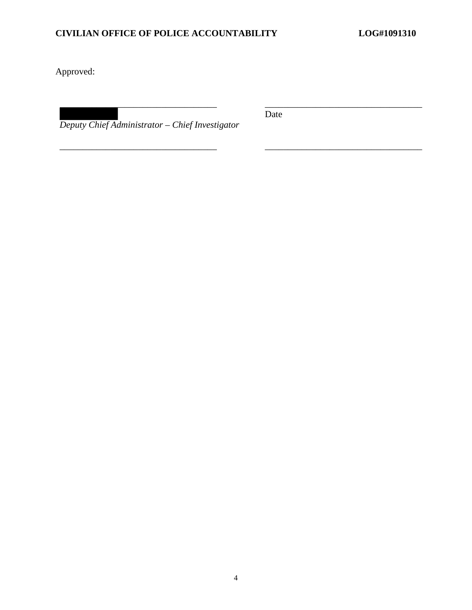Approved:

*Deputy Chief Administrator – Chief Investigator* 

Date

\_\_\_\_\_\_\_\_\_\_\_\_\_\_\_\_\_\_\_\_\_\_\_\_\_\_\_\_\_\_\_\_\_\_ \_\_\_\_\_\_\_\_\_\_\_\_\_\_\_\_\_\_\_\_\_\_\_\_\_\_\_\_\_\_\_\_\_\_

\_\_\_\_\_\_\_\_\_\_\_\_\_\_\_\_\_\_\_\_\_\_\_\_\_\_\_\_\_\_\_\_\_\_ \_\_\_\_\_\_\_\_\_\_\_\_\_\_\_\_\_\_\_\_\_\_\_\_\_\_\_\_\_\_\_\_\_\_